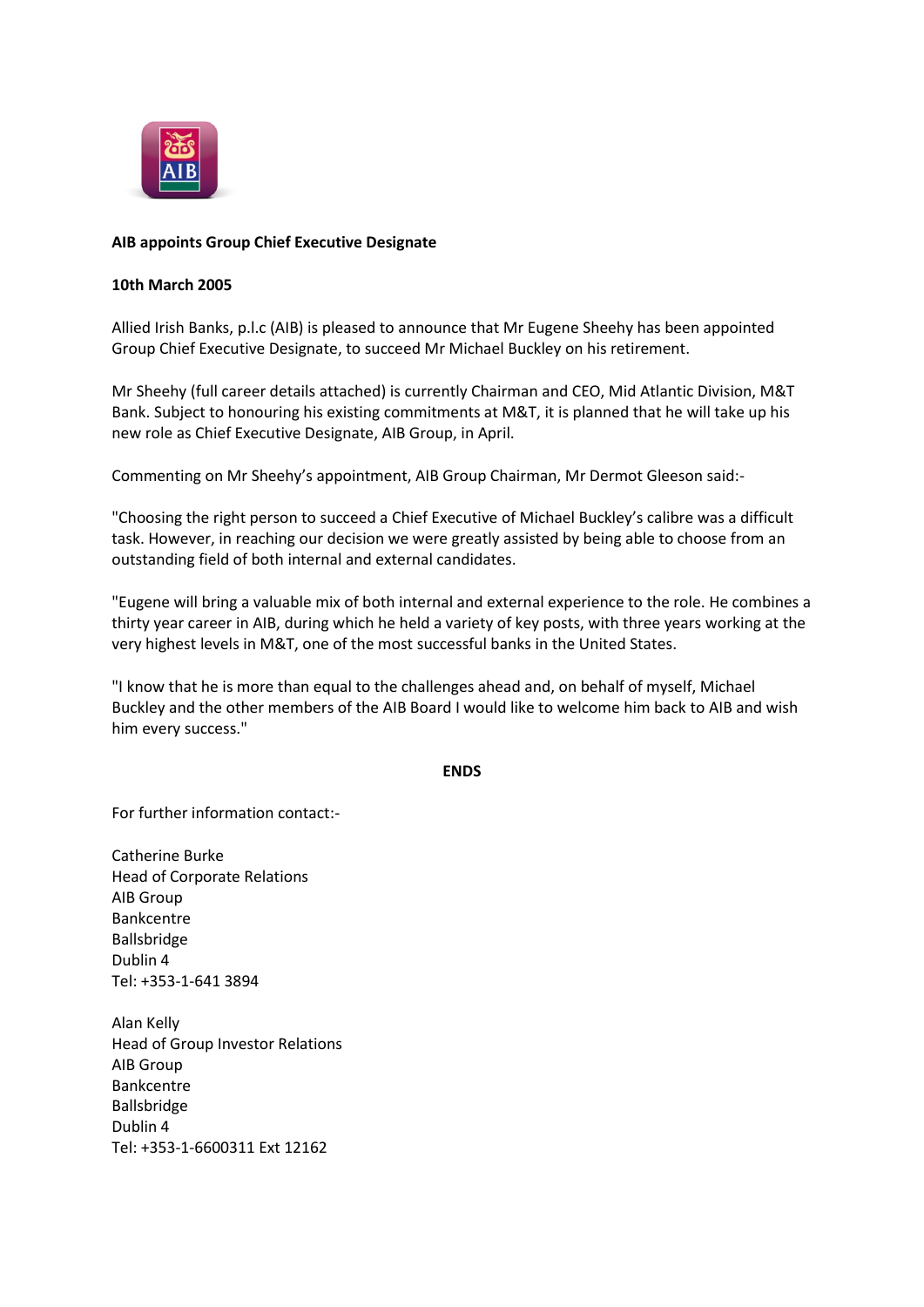

# **AIB appoints Group Chief Executive Designate**

## **10th March 2005**

Allied Irish Banks, p.l.c (AIB) is pleased to announce that Mr Eugene Sheehy has been appointed Group Chief Executive Designate, to succeed Mr Michael Buckley on his retirement.

Mr Sheehy (full career details attached) is currently Chairman and CEO, Mid Atlantic Division, M&T Bank. Subject to honouring his existing commitments at M&T, it is planned that he will take up his new role as Chief Executive Designate, AIB Group, in April.

Commenting on Mr Sheehy's appointment, AIB Group Chairman, Mr Dermot Gleeson said:-

"Choosing the right person to succeed a Chief Executive of Michael Buckley's calibre was a difficult task. However, in reaching our decision we were greatly assisted by being able to choose from an outstanding field of both internal and external candidates.

"Eugene will bring a valuable mix of both internal and external experience to the role. He combines a thirty year career in AIB, during which he held a variety of key posts, with three years working at the very highest levels in M&T, one of the most successful banks in the United States.

"I know that he is more than equal to the challenges ahead and, on behalf of myself, Michael Buckley and the other members of the AIB Board I would like to welcome him back to AIB and wish him every success."

#### **ENDS**

For further information contact:-

Catherine Burke Head of Corporate Relations AIB Group Bankcentre Ballsbridge Dublin 4 Tel: +353-1-641 3894

Alan Kelly Head of Group Investor Relations AIB Group Bankcentre Ballsbridge Dublin 4 Tel: +353-1-6600311 Ext 12162